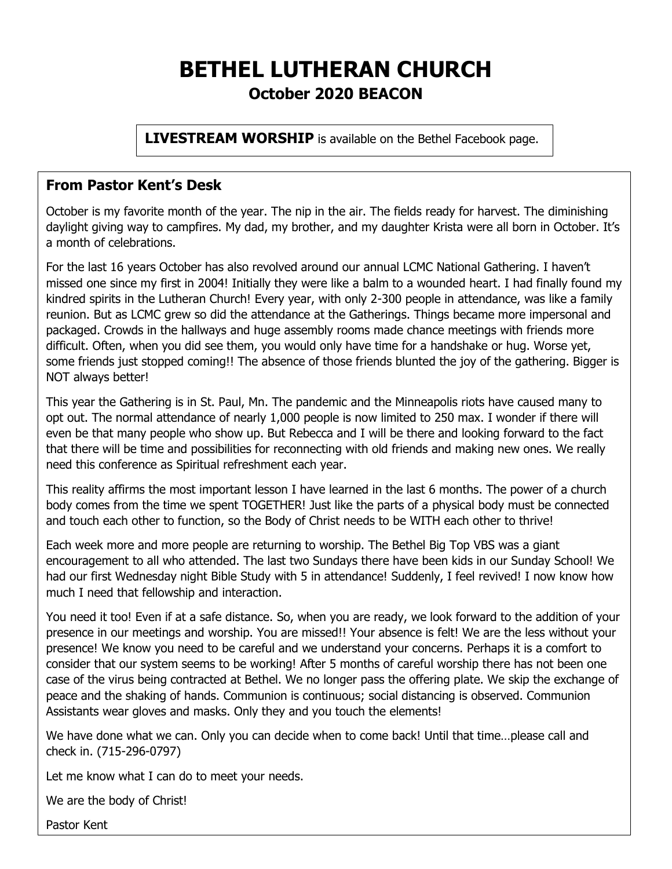# **BETHEL LUTHERAN CHURCH October 2020 BEACON**

**LIVESTREAM WORSHIP** is available on the Bethel Facebook page.

#### **From Pastor Kent's Desk**

October is my favorite month of the year. The nip in the air. The fields ready for harvest. The diminishing daylight giving way to campfires. My dad, my brother, and my daughter Krista were all born in October. It's a month of celebrations.

For the last 16 years October has also revolved around our annual LCMC National Gathering. I haven't missed one since my first in 2004! Initially they were like a balm to a wounded heart. I had finally found my kindred spirits in the Lutheran Church! Every year, with only 2-300 people in attendance, was like a family reunion. But as LCMC grew so did the attendance at the Gatherings. Things became more impersonal and packaged. Crowds in the hallways and huge assembly rooms made chance meetings with friends more difficult. Often, when you did see them, you would only have time for a handshake or hug. Worse yet, some friends just stopped coming!! The absence of those friends blunted the joy of the gathering. Bigger is NOT always better!

This year the Gathering is in St. Paul, Mn. The pandemic and the Minneapolis riots have caused many to opt out. The normal attendance of nearly 1,000 people is now limited to 250 max. I wonder if there will even be that many people who show up. But Rebecca and I will be there and looking forward to the fact that there will be time and possibilities for reconnecting with old friends and making new ones. We really need this conference as Spiritual refreshment each year.

This reality affirms the most important lesson I have learned in the last 6 months. The power of a church body comes from the time we spent TOGETHER! Just like the parts of a physical body must be connected and touch each other to function, so the Body of Christ needs to be WITH each other to thrive!

Each week more and more people are returning to worship. The Bethel Big Top VBS was a giant encouragement to all who attended. The last two Sundays there have been kids in our Sunday School! We had our first Wednesday night Bible Study with 5 in attendance! Suddenly, I feel revived! I now know how much I need that fellowship and interaction.

You need it too! Even if at a safe distance. So, when you are ready, we look forward to the addition of your presence in our meetings and worship. You are missed!! Your absence is felt! We are the less without your presence! We know you need to be careful and we understand your concerns. Perhaps it is a comfort to consider that our system seems to be working! After 5 months of careful worship there has not been one case of the virus being contracted at Bethel. We no longer pass the offering plate. We skip the exchange of peace and the shaking of hands. Communion is continuous; social distancing is observed. Communion Assistants wear gloves and masks. Only they and you touch the elements!

We have done what we can. Only you can decide when to come back! Until that time…please call and check in. (715-296-0797)

Let me know what I can do to meet your needs.

We are the body of Christ!

Pastor Kent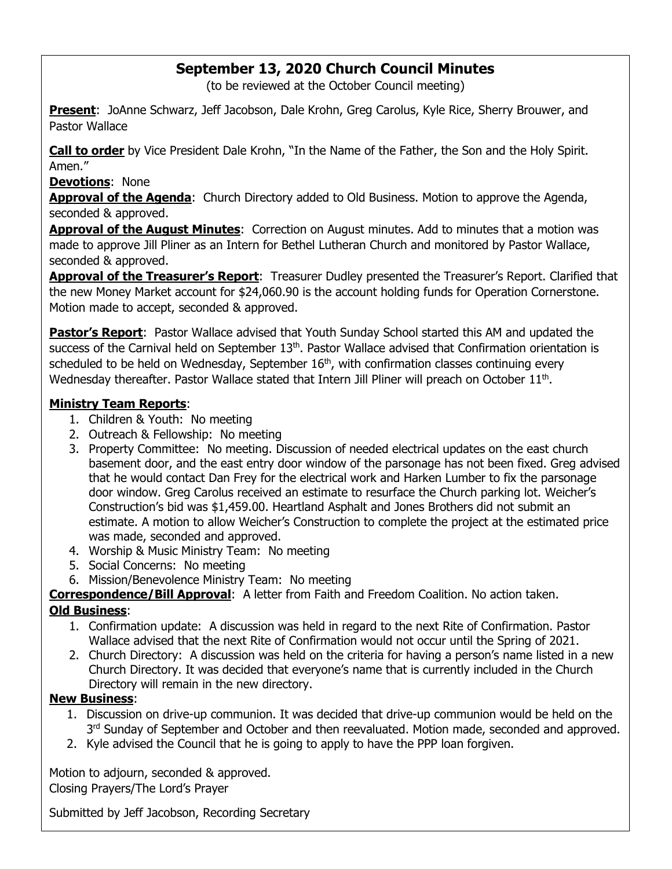## **September 13, 2020 Church Council Minutes**

(to be reviewed at the October Council meeting)

**Present**: JoAnne Schwarz, Jeff Jacobson, Dale Krohn, Greg Carolus, Kyle Rice, Sherry Brouwer, and Pastor Wallace

**Call to order** by Vice President Dale Krohn, "In the Name of the Father, the Son and the Holy Spirit. Amen."

**Devotions**: None

**Approval of the Agenda**: Church Directory added to Old Business. Motion to approve the Agenda, seconded & approved.

**Approval of the August Minutes**: Correction on August minutes. Add to minutes that a motion was made to approve Jill Pliner as an Intern for Bethel Lutheran Church and monitored by Pastor Wallace, seconded & approved.

**Approval of the Treasurer's Report**: Treasurer Dudley presented the Treasurer's Report. Clarified that the new Money Market account for \$24,060.90 is the account holding funds for Operation Cornerstone. Motion made to accept, seconded & approved.

**Pastor's Report**: Pastor Wallace advised that Youth Sunday School started this AM and updated the success of the Carnival held on September 13<sup>th</sup>. Pastor Wallace advised that Confirmation orientation is scheduled to be held on Wednesday, September  $16<sup>th</sup>$ , with confirmation classes continuing every Wednesday thereafter. Pastor Wallace stated that Intern Jill Pliner will preach on October  $11<sup>th</sup>$ .

#### **Ministry Team Reports**:

- 1. Children & Youth: No meeting
- 2. Outreach & Fellowship: No meeting
- 3. Property Committee: No meeting. Discussion of needed electrical updates on the east church basement door, and the east entry door window of the parsonage has not been fixed. Greg advised that he would contact Dan Frey for the electrical work and Harken Lumber to fix the parsonage door window. Greg Carolus received an estimate to resurface the Church parking lot. Weicher's Construction's bid was \$1,459.00. Heartland Asphalt and Jones Brothers did not submit an estimate. A motion to allow Weicher's Construction to complete the project at the estimated price was made, seconded and approved.
- 4. Worship & Music Ministry Team: No meeting
- 5. Social Concerns: No meeting
- 6. Mission/Benevolence Ministry Team: No meeting

# **Correspondence/Bill Approval**: A letter from Faith and Freedom Coalition. No action taken.

#### **Old Business**:

- 1. Confirmation update: A discussion was held in regard to the next Rite of Confirmation. Pastor Wallace advised that the next Rite of Confirmation would not occur until the Spring of 2021.
- 2. Church Directory: A discussion was held on the criteria for having a person's name listed in a new Church Directory. It was decided that everyone's name that is currently included in the Church Directory will remain in the new directory.

#### **New Business**:

- 1. Discussion on drive-up communion. It was decided that drive-up communion would be held on the 3<sup>rd</sup> Sunday of September and October and then reevaluated. Motion made, seconded and approved.
- 2. Kyle advised the Council that he is going to apply to have the PPP loan forgiven.

Motion to adjourn, seconded & approved.

Closing Prayers/The Lord's Prayer

Submitted by Jeff Jacobson, Recording Secretary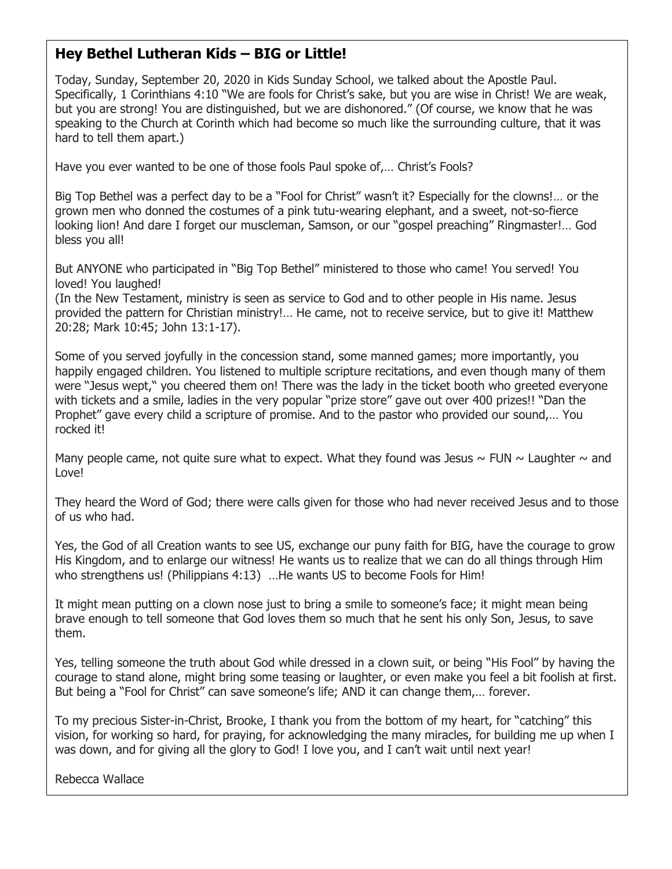## **Hey Bethel Lutheran Kids – BIG or Little!**

Today, Sunday, September 20, 2020 in Kids Sunday School, we talked about the Apostle Paul. Specifically, 1 Corinthians 4:10 "We are fools for Christ's sake, but you are wise in Christ! We are weak, but you are strong! You are distinguished, but we are dishonored." (Of course, we know that he was speaking to the Church at Corinth which had become so much like the surrounding culture, that it was hard to tell them apart.)

Have you ever wanted to be one of those fools Paul spoke of,… Christ's Fools?

Big Top Bethel was a perfect day to be a "Fool for Christ" wasn't it? Especially for the clowns!… or the grown men who donned the costumes of a pink tutu-wearing elephant, and a sweet, not-so-fierce looking lion! And dare I forget our muscleman, Samson, or our "gospel preaching" Ringmaster!… God bless you all!

But ANYONE who participated in "Big Top Bethel" ministered to those who came! You served! You loved! You laughed!

(In the New Testament, ministry is seen as service to God and to other people in His name. Jesus provided the pattern for Christian ministry!… He came, not to receive service, but to give it! Matthew 20:28; Mark 10:45; John 13:1-17).

Some of you served joyfully in the concession stand, some manned games; more importantly, you happily engaged children. You listened to multiple scripture recitations, and even though many of them were "Jesus wept," you cheered them on! There was the lady in the ticket booth who greeted everyone with tickets and a smile, ladies in the very popular "prize store" gave out over 400 prizes!! "Dan the Prophet" gave every child a scripture of promise. And to the pastor who provided our sound,… You rocked it!

Many people came, not quite sure what to expect. What they found was Jesus  $\sim$  FUN  $\sim$  Laughter  $\sim$  and Love!

They heard the Word of God; there were calls given for those who had never received Jesus and to those of us who had.

Yes, the God of all Creation wants to see US, exchange our puny faith for BIG, have the courage to grow His Kingdom, and to enlarge our witness! He wants us to realize that we can do all things through Him who strengthens us! (Philippians 4:13) …He wants US to become Fools for Him!

It might mean putting on a clown nose just to bring a smile to someone's face; it might mean being brave enough to tell someone that God loves them so much that he sent his only Son, Jesus, to save them.

Yes, telling someone the truth about God while dressed in a clown suit, or being "His Fool" by having the courage to stand alone, might bring some teasing or laughter, or even make you feel a bit foolish at first. But being a "Fool for Christ" can save someone's life; AND it can change them,… forever.

To my precious Sister-in-Christ, Brooke, I thank you from the bottom of my heart, for "catching" this vision, for working so hard, for praying, for acknowledging the many miracles, for building me up when I was down, and for giving all the glory to God! I love you, and I can't wait until next year!

Rebecca Wallace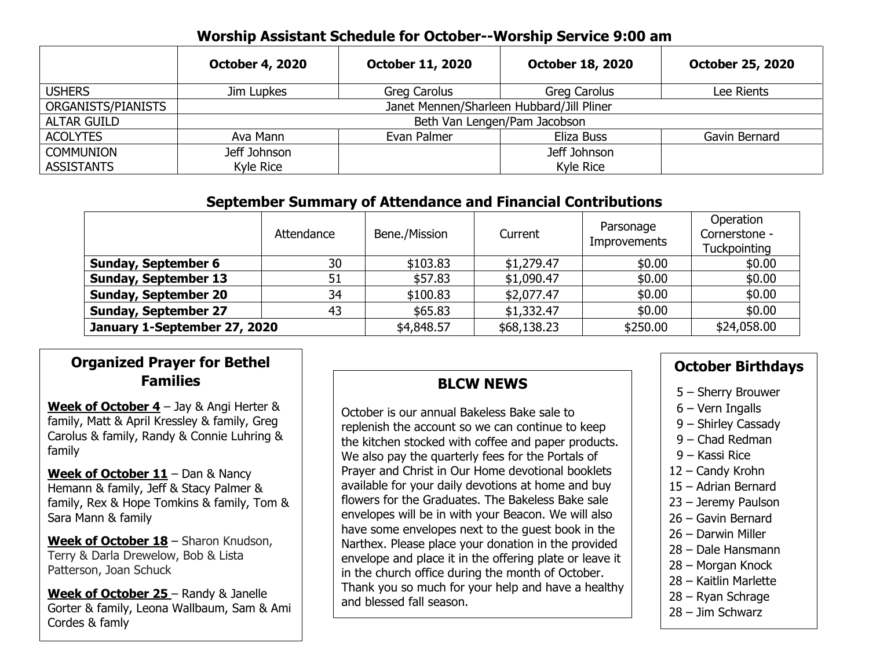#### **Worship Assistant Schedule for October--Worship Service 9:00 am**

|                    | <b>October 4, 2020</b>                    | <b>October 11, 2020</b> | <b>October 18, 2020</b> | <b>October 25, 2020</b> |  |
|--------------------|-------------------------------------------|-------------------------|-------------------------|-------------------------|--|
| <b>USHERS</b>      | Jim Lupkes                                | Greg Carolus            | Greg Carolus            | Lee Rients              |  |
| ORGANISTS/PIANISTS | Janet Mennen/Sharleen Hubbard/Jill Pliner |                         |                         |                         |  |
| <b>ALTAR GUILD</b> | Beth Van Lengen/Pam Jacobson              |                         |                         |                         |  |
| <b>ACOLYTES</b>    | Ava Mann                                  | Evan Palmer             | Eliza Buss              | Gavin Bernard           |  |
| <b>COMMUNION</b>   | Jeff Johnson                              |                         | Jeff Johnson            |                         |  |
| <b>ASSISTANTS</b>  | Kyle Rice                                 |                         | <b>Kyle Rice</b>        |                         |  |

## **September Summary of Attendance and Financial Contributions**

|                              | Attendance | Bene./Mission | Current     | Parsonage<br><b>Improvements</b> | Operation<br>Cornerstone -<br>Tuckpointing |
|------------------------------|------------|---------------|-------------|----------------------------------|--------------------------------------------|
| <b>Sunday, September 6</b>   | 30         | \$103.83      | \$1,279.47  | \$0.00                           | \$0.00                                     |
| <b>Sunday, September 13</b>  | 51         | \$57.83       | \$1,090.47  | \$0.00                           | \$0.00                                     |
| <b>Sunday, September 20</b>  | 34         | \$100.83      | \$2,077.47  | \$0.00                           | \$0.00                                     |
| <b>Sunday, September 27</b>  | 43         | \$65.83       | \$1,332.47  | \$0.00                           | \$0.00                                     |
| January 1-September 27, 2020 |            | \$4,848.57    | \$68,138.23 | \$250.00                         | \$24,058.00                                |

# **Organized Prayer for Bethel Families**

**Week of October 4** – Jay & Angi Herter & family, Matt & April Kressley & family, Greg Carolus & family, Randy & Connie Luhring & family

**Week of October 11** – Dan & Nancy Hemann & family, Jeff & Stacy Palmer & family, Rex & Hope Tomkins & family, Tom & Sara Mann & family

**Week of October 18** – Sharon Knudson, Terry & Darla Drewelow, Bob & Lista Patterson, Joan Schuck

**Week of October 25** – Randy & Janelle Gorter & family, Leona Wallbaum, Sam & Ami Cordes & famly

# **BLCW NEWS**

October is our annual Bakeless Bake sale to replenish the account so we can continue to keep the kitchen stocked with coffee and paper products. We also pay the quarterly fees for the Portals of Prayer and Christ in Our Home devotional booklets available for your daily devotions at home and buy flowers for the Graduates. The Bakeless Bake sale envelopes will be in with your Beacon. We will also have some envelopes next to the guest book in the Narthex. Please place your donation in the provided envelope and place it in the offering plate or leave it in the church office during the month of October. Thank you so much for your help and have a healthy and blessed fall season.

## **October Birthdays**

- 5 Sherry Brouwer
- 6 Vern Ingalls
- 9 Shirley Cassady
- 9 Chad Redman
- 9 Kassi Rice
- 12 Candy Krohn
- 15 Adrian Bernard
- 23 Jeremy Paulson
- 26 Gavin Bernard
- 26 Darwin Miller
- 28 Dale Hansmann
- 28 Morgan Knock
- 28 Kaitlin Marlette
- 28 Ryan Schrage
- 28 Jim Schwarz